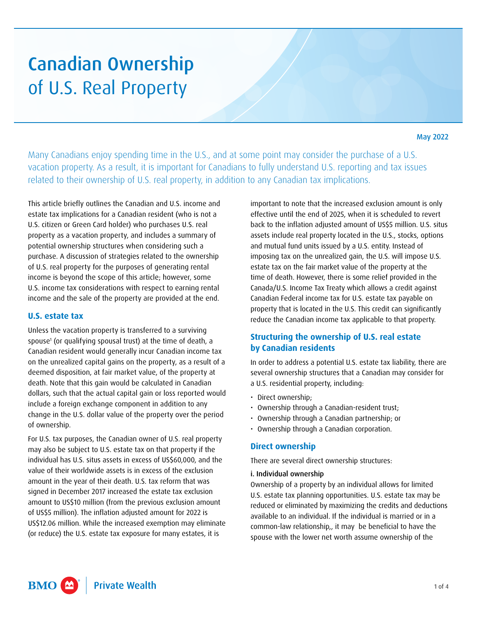# Canadian Ownership of U.S. Real Property

May 2022

Many Canadians enjoy spending time in the U.S., and at some point may consider the purchase of a U.S. vacation property. As a result, it is important for Canadians to fully understand U.S. reporting and tax issues related to their ownership of U.S. real property, in addition to any Canadian tax implications.

This article briefly outlines the Canadian and U.S. income and estate tax implications for a Canadian resident (who is not a U.S. citizen or Green Card holder) who purchases U.S. real property as a vacation property, and includes a summary of potential ownership structures when considering such a purchase. A discussion of strategies related to the ownership of U.S. real property for the purposes of generating rental income is beyond the scope of this article; however, some U.S. income tax considerations with respect to earning rental income and the sale of the property are provided at the end.

### **U.S. estate tax**

Unless the vacation property is transferred to a surviving spouse<sup>1</sup> (or qualifying spousal trust) at the time of death, a Canadian resident would generally incur Canadian income tax on the unrealized capital gains on the property, as a result of a deemed disposition, at fair market value, of the property at death. Note that this gain would be calculated in Canadian dollars, such that the actual capital gain or loss reported would include a foreign exchange component in addition to any change in the U.S. dollar value of the property over the period of ownership.

For U.S. tax purposes, the Canadian owner of U.S. real property may also be subject to U.S. estate tax on that property if the individual has U.S. situs assets in excess of US\$60,000, and the value of their worldwide assets is in excess of the exclusion amount in the year of their death. U.S. tax reform that was signed in December 2017 increased the estate tax exclusion amount to US\$10 million (from the previous exclusion amount of US\$5 million). The inflation adjusted amount for 2022 is US\$12.06 million. While the increased exemption may eliminate (or reduce) the U.S. estate tax exposure for many estates, it is

important to note that the increased exclusion amount is only effective until the end of 2025, when it is scheduled to revert back to the inflation adjusted amount of US\$5 million. U.S. situs assets include real property located in the U.S., stocks, options and mutual fund units issued by a U.S. entity. Instead of imposing tax on the unrealized gain, the U.S. will impose U.S. estate tax on the fair market value of the property at the time of death. However, there is some relief provided in the Canada/U.S. Income Tax Treaty which allows a credit against Canadian Federal income tax for U.S. estate tax payable on property that is located in the U.S. This credit can significantly reduce the Canadian income tax applicable to that property.

# **Structuring the ownership of U.S. real estate by Canadian residents**

In order to address a potential U.S. estate tax liability, there are several ownership structures that a Canadian may consider for a U.S. residential property, including:

- Direct ownership;
- Ownership through a Canadian-resident trust;
- Ownership through a Canadian partnership; or
- Ownership through a Canadian corporation.

## **Direct ownership**

There are several direct ownership structures:

#### i. Individual ownership

Ownership of a property by an individual allows for limited U.S. estate tax planning opportunities. U.S. estate tax may be reduced or eliminated by maximizing the credits and deductions available to an individual. If the individual is married or in a common-law relationship,, it may be beneficial to have the spouse with the lower net worth assume ownership of the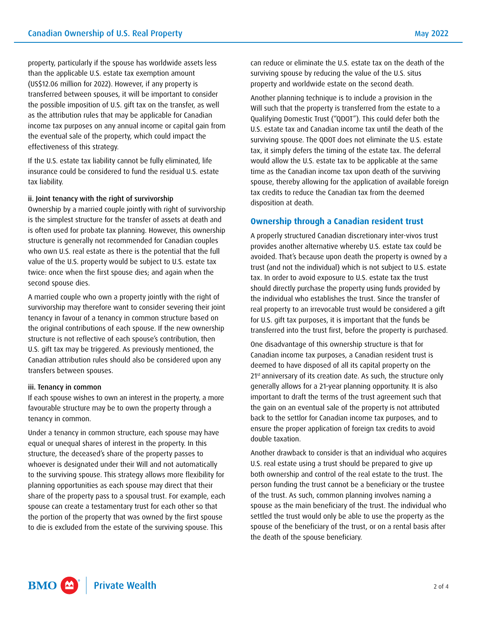property, particularly if the spouse has worldwide assets less than the applicable U.S. estate tax exemption amount (US\$12.06 million for 2022). However, if any property is transferred between spouses, it will be important to consider the possible imposition of U.S. gift tax on the transfer, as well as the attribution rules that may be applicable for Canadian income tax purposes on any annual income or capital gain from the eventual sale of the property, which could impact the effectiveness of this strategy.

If the U.S. estate tax liability cannot be fully eliminated, life insurance could be considered to fund the residual U.S. estate tax liability.

#### ii. Joint tenancy with the right of survivorship

Ownership by a married couple jointly with right of survivorship is the simplest structure for the transfer of assets at death and is often used for probate tax planning. However, this ownership structure is generally not recommended for Canadian couples who own U.S. real estate as there is the potential that the full value of the U.S. property would be subject to U.S. estate tax twice: once when the first spouse dies; and again when the second spouse dies.

A married couple who own a property jointly with the right of survivorship may therefore want to consider severing their joint tenancy in favour of a tenancy in common structure based on the original contributions of each spouse. If the new ownership structure is not reflective of each spouse's contribution, then U.S. gift tax may be triggered. As previously mentioned, the Canadian attribution rules should also be considered upon any transfers between spouses.

#### iii. Tenancy in common

If each spouse wishes to own an interest in the property, a more favourable structure may be to own the property through a tenancy in common.

Under a tenancy in common structure, each spouse may have equal or unequal shares of interest in the property. In this structure, the deceased's share of the property passes to whoever is designated under their Will and not automatically to the surviving spouse. This strategy allows more flexibility for planning opportunities as each spouse may direct that their share of the property pass to a spousal trust. For example, each spouse can create a testamentary trust for each other so that the portion of the property that was owned by the first spouse to die is excluded from the estate of the surviving spouse. This

can reduce or eliminate the U.S. estate tax on the death of the surviving spouse by reducing the value of the U.S. situs property and worldwide estate on the second death.

Another planning technique is to include a provision in the Will such that the property is transferred from the estate to a Qualifying Domestic Trust ("QDOT"). This could defer both the U.S. estate tax and Canadian income tax until the death of the surviving spouse. The QDOT does not eliminate the U.S. estate tax, it simply defers the timing of the estate tax. The deferral would allow the U.S. estate tax to be applicable at the same time as the Canadian income tax upon death of the surviving spouse, thereby allowing for the application of available foreign tax credits to reduce the Canadian tax from the deemed disposition at death.

# **Ownership through a Canadian resident trust**

A properly structured Canadian discretionary inter-vivos trust provides another alternative whereby U.S. estate tax could be avoided. That's because upon death the property is owned by a trust (and not the individual) which is not subject to U.S. estate tax. In order to avoid exposure to U.S. estate tax the trust should directly purchase the property using funds provided by the individual who establishes the trust. Since the transfer of real property to an irrevocable trust would be considered a gift for U.S. gift tax purposes, it is important that the funds be transferred into the trust first, before the property is purchased.

One disadvantage of this ownership structure is that for Canadian income tax purposes, a Canadian resident trust is deemed to have disposed of all its capital property on the 21<sup>st</sup> anniversary of its creation date. As such, the structure only generally allows for a 21-year planning opportunity. It is also important to draft the terms of the trust agreement such that the gain on an eventual sale of the property is not attributed back to the settlor for Canadian income tax purposes, and to ensure the proper application of foreign tax credits to avoid double taxation.

Another drawback to consider is that an individual who acquires U.S. real estate using a trust should be prepared to give up both ownership and control of the real estate to the trust. The person funding the trust cannot be a beneficiary or the trustee of the trust. As such, common planning involves naming a spouse as the main beneficiary of the trust. The individual who settled the trust would only be able to use the property as the spouse of the beneficiary of the trust, or on a rental basis after the death of the spouse beneficiary.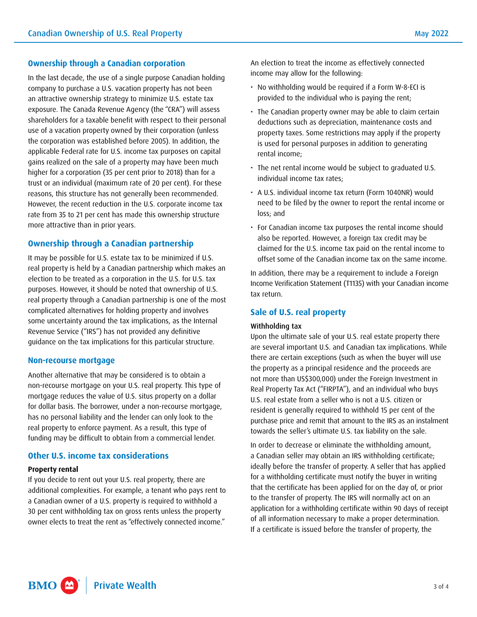## **Ownership through a Canadian corporation**

In the last decade, the use of a single purpose Canadian holding company to purchase a U.S. vacation property has not been an attractive ownership strategy to minimize U.S. estate tax exposure. The Canada Revenue Agency (the "CRA") will assess shareholders for a taxable benefit with respect to their personal use of a vacation property owned by their corporation (unless the corporation was established before 2005). In addition, the applicable Federal rate for U.S. income tax purposes on capital gains realized on the sale of a property may have been much higher for a corporation (35 per cent prior to 2018) than for a trust or an individual (maximum rate of 20 per cent). For these reasons, this structure has not generally been recommended. However, the recent reduction in the U.S. corporate income tax rate from 35 to 21 per cent has made this ownership structure more attractive than in prior years.

# **Ownership through a Canadian partnership**

It may be possible for U.S. estate tax to be minimized if U.S. real property is held by a Canadian partnership which makes an election to be treated as a corporation in the U.S. for U.S. tax purposes. However, it should be noted that ownership of U.S. real property through a Canadian partnership is one of the most complicated alternatives for holding property and involves some uncertainty around the tax implications, as the Internal Revenue Service ("IRS") has not provided any definitive guidance on the tax implications for this particular structure.

#### **Non-recourse mortgage**

Another alternative that may be considered is to obtain a non-recourse mortgage on your U.S. real property. This type of mortgage reduces the value of U.S. situs property on a dollar for dollar basis. The borrower, under a non-recourse mortgage, has no personal liability and the lender can only look to the real property to enforce payment. As a result, this type of funding may be difficult to obtain from a commercial lender.

## **Other U.S. income tax considerations**

#### **Property rental**

If you decide to rent out your U.S. real property, there are additional complexities. For example, a tenant who pays rent to a Canadian owner of a U.S. property is required to withhold a 30 per cent withholding tax on gross rents unless the property owner elects to treat the rent as "effectively connected income."

An election to treat the income as effectively connected income may allow for the following:

- No withholding would be required if a Form W-8-ECI is provided to the individual who is paying the rent;
- The Canadian property owner may be able to claim certain deductions such as depreciation, maintenance costs and property taxes. Some restrictions may apply if the property is used for personal purposes in addition to generating rental income;
- The net rental income would be subject to graduated U.S. individual income tax rates;
- A U.S. individual income tax return (Form 1040NR) would need to be filed by the owner to report the rental income or loss; and
- For Canadian income tax purposes the rental income should also be reported. However, a foreign tax credit may be claimed for the U.S. income tax paid on the rental income to offset some of the Canadian income tax on the same income.

In addition, there may be a requirement to include a Foreign Income Verification Statement (T1135) with your Canadian income tax return.

## **Sale of U.S. real property**

#### Withholding tax

Upon the ultimate sale of your U.S. real estate property there are several important U.S. and Canadian tax implications. While there are certain exceptions (such as when the buyer will use the property as a principal residence and the proceeds are not more than US\$300,000) under the Foreign Investment in Real Property Tax Act ("FIRPTA"), and an individual who buys U.S. real estate from a seller who is not a U.S. citizen or resident is generally required to withhold 15 per cent of the purchase price and remit that amount to the IRS as an instalment towards the seller's ultimate U.S. tax liability on the sale.

In order to decrease or eliminate the withholding amount, a Canadian seller may obtain an IRS withholding certificate; ideally before the transfer of property. A seller that has applied for a withholding certificate must notify the buyer in writing that the certificate has been applied for on the day of, or prior to the transfer of property. The IRS will normally act on an application for a withholding certificate within 90 days of receipt of all information necessary to make a proper determination. If a certificate is issued before the transfer of property, the